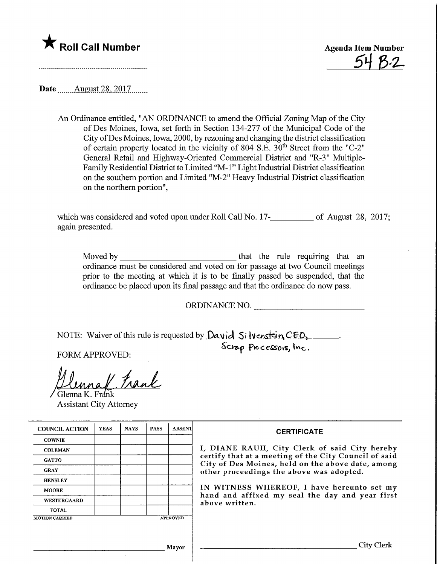



Date ........August.28,. 2017.

An Ordinance entitled, "AN ORDINANCE to amend the Official Zoning Map of the City of Des Moines, Iowa, set forth in Section 134-277 of the Municipal Code of the City ofDes Moines, Iowa, 2000, by rezoning and changing the district classification of certain property located in the vicinity of 804 S.E.  $30<sup>th</sup>$  Street from the "C-2" General Retail and Highway-Oriented Commercial District and "R-3" Multiple-Family Residential District to Limited "M-l" Light Industrial District classification on the southern portion and Limited "M-2" Heavy Industrial District classification on the northern portion",

which was considered and voted upon under Roll Call No. 17-<br>
<u>netally</u> of August 28, 2017; again presented.

Moved by that the mle requiring that an ordinance must be considered and voted on for passage at two Council meeting prior to the meeting at which it is to be finally passed be suspended, that the ordinance be placed upon its final passage and that the ordinance do now pass.

ORDINANCE NO.

NOTE: Waiver of this rule is requested by  $D$ a vid  $S$ i lvcr $s$ tein  $CEO$ ,

Scrap Processors, Inc.

FORM APPROVED:

 $und$  trank Glenna K. Frank

 $\mathcal{L}$ 

Assistant City Attorney

| <b>COUNCIL ACTION</b> | <b>YEAS</b> | <b>NAYS</b> | <b>PASS</b> | <b>ABSENT</b>   | <b>CERTIFICATE</b>                                                                                                                                                                                                                                                                                                         |
|-----------------------|-------------|-------------|-------------|-----------------|----------------------------------------------------------------------------------------------------------------------------------------------------------------------------------------------------------------------------------------------------------------------------------------------------------------------------|
| <b>COWNIE</b>         |             |             |             |                 | I, DIANE RAUH, City Clerk of said City hereby<br>certify that at a meeting of the City Council of said<br>City of Des Moines, held on the above date, among<br>other proceedings the above was adopted.<br>IN WITNESS WHEREOF, I have hereunto set my<br>hand and affixed my seal the day and year first<br>above written. |
| <b>COLEMAN</b>        |             |             |             |                 |                                                                                                                                                                                                                                                                                                                            |
| <b>GATTO</b>          |             |             |             |                 |                                                                                                                                                                                                                                                                                                                            |
| <b>GRAY</b>           |             |             |             |                 |                                                                                                                                                                                                                                                                                                                            |
| <b>HENSLEY</b>        |             |             |             |                 |                                                                                                                                                                                                                                                                                                                            |
| <b>MOORE</b>          |             |             |             |                 |                                                                                                                                                                                                                                                                                                                            |
| <b>WESTERGAARD</b>    |             |             |             |                 |                                                                                                                                                                                                                                                                                                                            |
| <b>TOTAL</b>          |             |             |             |                 |                                                                                                                                                                                                                                                                                                                            |
| <b>MOTION CARRIED</b> |             |             |             | <b>APPROVED</b> |                                                                                                                                                                                                                                                                                                                            |
|                       |             |             |             |                 |                                                                                                                                                                                                                                                                                                                            |
|                       |             |             |             |                 |                                                                                                                                                                                                                                                                                                                            |
| Mayor                 |             |             |             |                 | City Clerk                                                                                                                                                                                                                                                                                                                 |